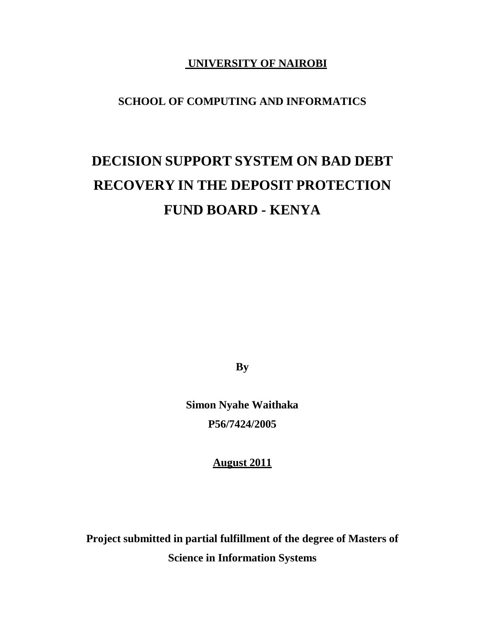## **UNIVERSITY OF NAIROBI**

# **SCHOOL OF COMPUTING AND INFORMATICS**

# **DECISION SUPPORT SYSTEM ON BAD DEBT RECOVERY IN THE DEPOSIT PROTECTION FUND BOARD - KENYA**

**By**

**Simon Nyahe Waithaka P56/7424/2005**

**August 2011**

**Project submitted in partial fulfillment of the degree of Masters of Science in Information Systems**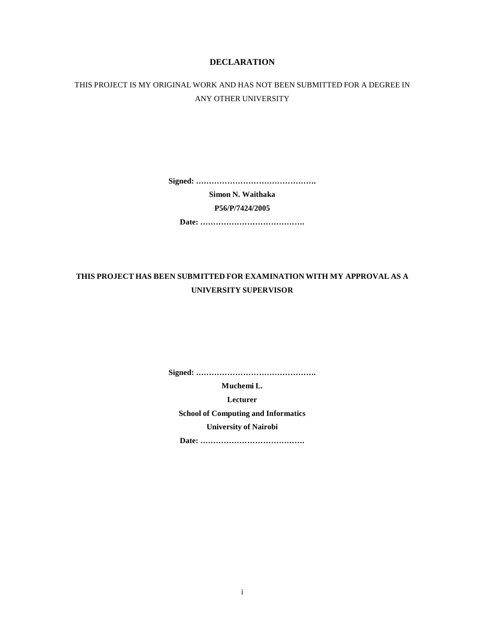#### **DECLARATION**

### THIS PROJECT IS MY ORIGINAL WORK AND HAS NOT BEEN SUBMITTED FOR A DEGREE IN ANY OTHER UNIVERSITY

**Signed: ……………………………………….**

**Simon N. Waithaka**

**P56/P/7424/2005**

**Date: ………………………………….**

### **THIS PROJECT HAS BEEN SUBMITTED FOR EXAMINATION WITH MY APPROVAL AS A UNIVERSITY SUPERVISOR**

**Signed: ……………………………………….**

**Muchemi L.**

**Lecturer**

**School of Computing and Informatics University of Nairobi**

**Date: ………………………………….**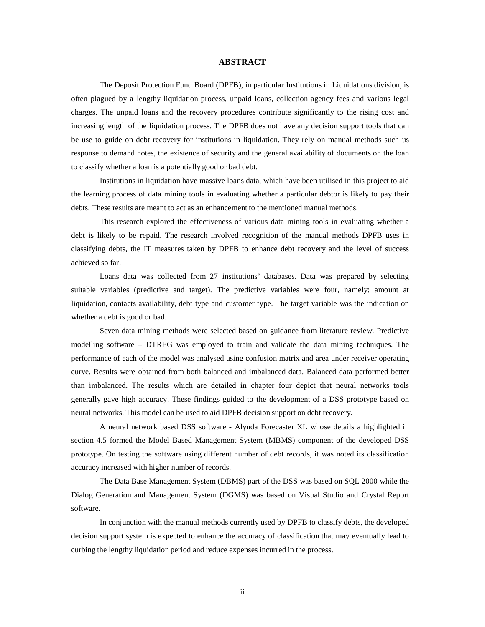#### **ABSTRACT**

The Deposit Protection Fund Board (DPFB), in particular Institutions in Liquidations division, is often plagued by a lengthy liquidation process, unpaid loans, collection agency fees and various legal charges. The unpaid loans and the recovery procedures contribute significantly to the rising cost and increasing length of the liquidation process. The DPFB does not have any decision support tools that can be use to guide on debt recovery for institutions in liquidation. They rely on manual methods such us response to demand notes, the existence of security and the general availability of documents on the loan to classify whether a loan is a potentially good or bad debt.

Institutions in liquidation have massive loans data, which have been utilised in this project to aid the learning process of data mining tools in evaluating whether a particular debtor is likely to pay their debts. These results are meant to act as an enhancement to the mentioned manual methods.

This research explored the effectiveness of various data mining tools in evaluating whether a debt is likely to be repaid. The research involved recognition of the manual methods DPFB uses in classifying debts, the IT measures taken by DPFB toenhance debt recovery and the level of success achieved so far.

Loans data was collected from 27 institutions' databases. Data was prepared by selecting suitable variables (predictive and target). The predictive variables were four, namely; amount at liquidation, contacts availability, debt type and customer type. The target variable was the indication on whether a debt is good or bad.

Seven data mining methods were selected based on guidance from literature review. Predictive modelling software – DTREG was employed to train and validate the data mining techniques. The performance of each of the model was analysed using confusion matrix and area under receiver operating curve. Results were obtained from both balanced and imbalanced data. Balanced data performed better than imbalanced. The results which are detailed in chapter four depict that neural networks tools generally gave high accuracy. These findings guided to the development of a DSS prototype based on neural networks. This model can be used to aid DPFB decision support on debt recovery.

A neural network based DSS software - Alyuda Forecaster XL whose details a highlighted in section 4.5 formed the Model Based Management System (MBMS) component of the developed DSS prototype. On testing the software using different number of debt records, it was noted its classification accuracy increased with higher number of records.

The Data Base Management System (DBMS) part of the DSS was based on SQL 2000 while the Dialog Generation and Management System (DGMS) was based on Visual Studio and Crystal Report software.<br>In conjunction with the manual methods currently used by DPFB to classify debts, the developed

decision support system is expected to enhance the accuracy of classification that may eventually lead to curbing the lengthy liquidation period and reduce expenses incurred in the process.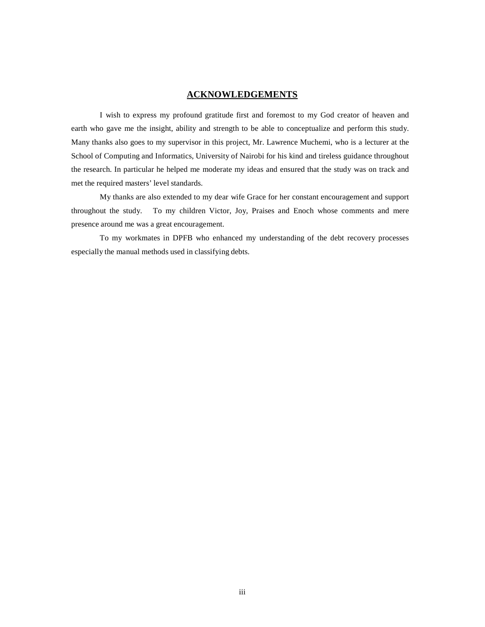#### **ACKNOWLEDGEMENTS**

I wish to express my profound gratitude first and foremost to my God creator of heaven and earth who gave me the insight, ability and strength to be able to conceptualize and perform this study. Many thanks also goes to my supervisor in this project, Mr. Lawrence Muchemi, who is a lecturer at the School of Computing and Informatics, University of Nairobi for his kind and tireless guidance throughout the research. In particular he helped me moderate my ideas and ensured that the study was on track and met the required masters' level standards.

My thanks are also extended to my dear wife Grace for her constant encouragement and support throughout the study. To my children Victor, Joy, Praises and Enoch whose comments and mere presence around me was a great encouragement.

To my workmates in DPFB who enhanced my understanding ofthe debt recovery processes especially the manual methods used in classifying debts.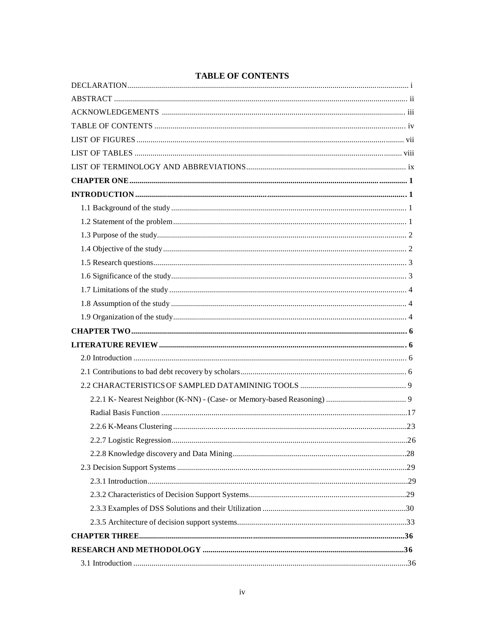### **TABLE OF CONTENTS**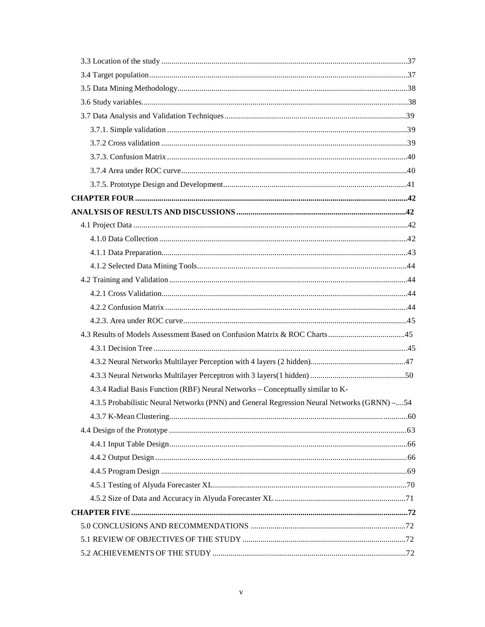| 4.3.4 Radial Basis Function (RBF) Neural Networks - Conceptually similar to K-              |  |
|---------------------------------------------------------------------------------------------|--|
| 4.3.5 Probabilistic Neural Networks (PNN) and General Regression Neural Networks (GRNN) -54 |  |
|                                                                                             |  |
|                                                                                             |  |
|                                                                                             |  |
|                                                                                             |  |
|                                                                                             |  |
|                                                                                             |  |
|                                                                                             |  |
|                                                                                             |  |
|                                                                                             |  |
|                                                                                             |  |
|                                                                                             |  |